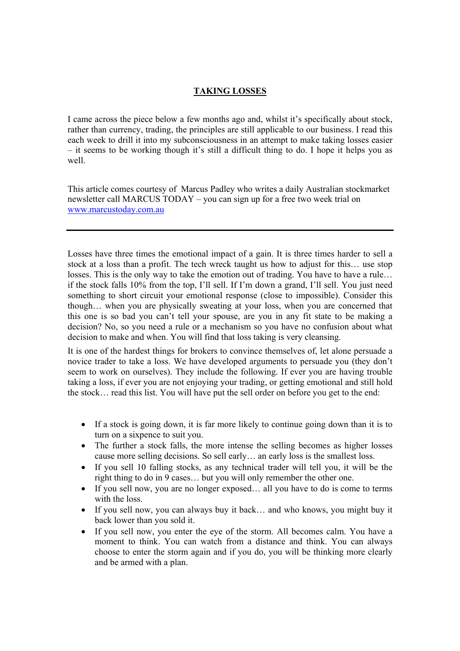## **TAKING LOSSES**

I came across the piece below a few months ago and, whilst it's specifically about stock, rather than currency, trading, the principles are still applicable to our business. I read this each week to drill it into my subconsciousness in an attempt to make taking losses easier – it seems to be working though it's still a difficult thing to do. I hope it helps you as well.

This article comes courtesy of Marcus Padley who writes a daily Australian stockmarket newsletter call MARCUS TODAY – you can sign up for a free two week trial on www.marcustoday.com.au

Losses have three times the emotional impact of a gain. It is three times harder to sell a stock at a loss than a profit. The tech wreck taught us how to adjust for this… use stop losses. This is the only way to take the emotion out of trading. You have to have a rule… if the stock falls 10% from the top, I'll sell. If I'm down a grand, I'll sell. You just need something to short circuit your emotional response (close to impossible). Consider this though… when you are physically sweating at your loss, when you are concerned that this one is so bad you can't tell your spouse, are you in any fit state to be making a decision? No, so you need a rule or a mechanism so you have no confusion about what decision to make and when. You will find that loss taking is very cleansing.

It is one of the hardest things for brokers to convince themselves of, let alone persuade a novice trader to take a loss. We have developed arguments to persuade you (they don't seem to work on ourselves). They include the following. If ever you are having trouble taking a loss, if ever you are not enjoying your trading, or getting emotional and still hold the stock… read this list. You will have put the sell order on before you get to the end:

- If a stock is going down, it is far more likely to continue going down than it is to turn on a sixpence to suit you.
- The further a stock falls, the more intense the selling becomes as higher losses cause more selling decisions. So sell early… an early loss is the smallest loss.
- If you sell 10 falling stocks, as any technical trader will tell you, it will be the right thing to do in 9 cases… but you will only remember the other one.
- If you sell now, you are no longer exposed... all you have to do is come to terms with the loss.
- If you sell now, you can always buy it back... and who knows, you might buy it back lower than you sold it.
- If you sell now, you enter the eye of the storm. All becomes calm. You have a moment to think. You can watch from a distance and think. You can always choose to enter the storm again and if you do, you will be thinking more clearly and be armed with a plan.